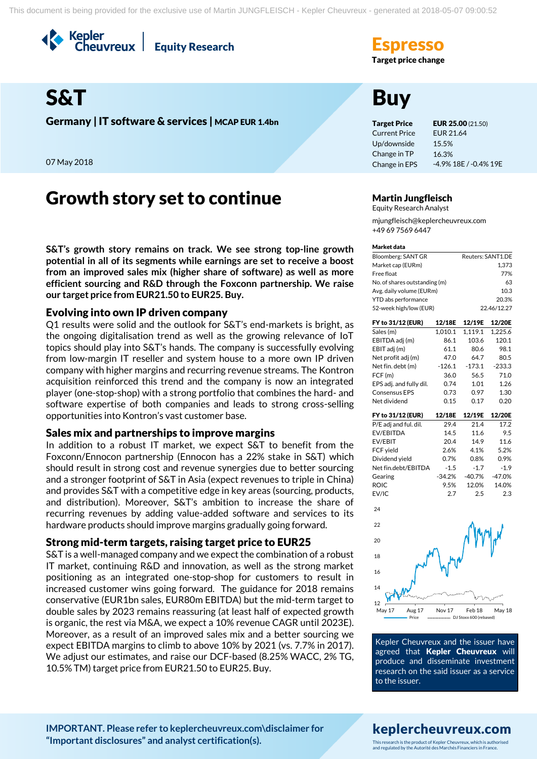Kepler<br>Cheuvreux **Equity Research** 



Germany | IT software & services | MCAP EUR 1.4bn Target Price EUR 25.00 (21.50)

07 May 2018

# Growth story set to continue Martin Jungfleisch

**S&T's growth story remains on track. We see strong top-line growth potential in all of its segments while earnings are set to receive a boost from an improved sales mix (higher share of software) as well as more efficient sourcing and R&D through the Foxconn partnership. We raise our target price from EUR21.50 to EUR25. Buy.**

### Evolving into own IP driven company

Q1 results were solid and the outlook for S&T's end-markets is bright, as the ongoing digitalisation trend as well as the growing relevance of IoT topics should play into S&T's hands. The company is successfully evolving from low-margin IT reseller and system house to a more own IP driven company with higher margins and recurring revenue streams. The Kontron acquisition reinforced this trend and the company is now an integrated player (one-stop-shop) with a strong portfolio that combines the hard- and software expertise of both companies and leads to strong cross-selling opportunities into Kontron's vast customer base.

### Sales mix and partnerships to improve margins

In addition to a robust IT market, we expect S&T to benefit from the Foxconn/Ennocon partnership (Ennocon has a 22% stake in S&T) which should result in strong cost and revenue synergies due to better sourcing and a stronger footprint of S&T in Asia (expect revenues to triple in China) and provides S&T with a competitive edge in key areas (sourcing, products, and distribution). Moreover, S&T's ambition to increase the share of recurring revenues by adding value-added software and services to its hardware products should improve margins gradually going forward.

### Strong mid-term targets, raising target price to EUR25

S&T is a well-managed company and we expect the combination of a robust IT market, continuing R&D and innovation, as well as the strong market positioning as an integrated one-stop-shop for customers to result in increased customer wins going forward. The guidance for 2018 remains conservative (EUR1bn sales, EUR80m EBITDA) but the mid-term target to double sales by 2023 remains reassuring (at least half of expected growth is organic, the rest via M&A, we expect a 10% revenue CAGR until 2023E). Moreover, as a result of an improved sales mix and a better sourcing we expect EBITDA margins to climb to above 10% by 2021 (vs. 7.7% in 2017). We adjust our estimates, and raise our DCF-based (8.25% WACC, 2% TG, 10.5% TM) target price from EUR21.50 to EUR25. Buy.

# **Target price change**

Current Price Up/downside Change in TP Change in EPS EUR 21.64 15.5% 16.3% -4.9% 18E / -0.4% 19E

Equity Research Analyst

mjungfleisch@keplercheuvreux.com +49 69 7569 6447

### Market data

| Bloomberg: SANT GR            | Reuters: SANT1.DE |
|-------------------------------|-------------------|
| Market cap (EURm)             | 1.373             |
| Free float                    | 77%               |
| No. of shares outstanding (m) | 63                |
| Avg. daily volume (EURm)      | 10.3              |
| YTD abs performance           | 20.3%             |
| 52-week high/low (EUR)        | 22.46/12.27       |
|                               |                   |

| FY to 31/12 (EUR)       | 12/18E   | 12/19E   | 12/20E   |
|-------------------------|----------|----------|----------|
| Sales (m)               | 1.010.1  | 1.119.1  | 1.225.6  |
| EBITDA adj (m)          | 86.1     | 103.6    | 120.1    |
| EBIT adj (m)            | 61.1     | 80.6     | 98.1     |
| Net profit adj (m)      | 47.0     | 64.7     | 80.5     |
| Net fin. debt (m)       | $-126.1$ | $-173.1$ | $-233.3$ |
| FCF(m)                  | 36.0     | 56.5     | 71.0     |
| EPS adj. and fully dil. | 0.74     | 1.01     | 1.26     |
| <b>Consensus EPS</b>    | 0.73     | 0.97     | 1.30     |
| Net dividend            | 0.15     | 0.17     | 0.20     |
| FY to 31/12 (EUR)       | 12/18E   | 12/19E   | 12/20E   |
| P/E adj and ful. dil.   | 29.4     | 21.4     | 17.2     |
| EV/EBITDA               | 14.5     | 11.6     | 9.5      |
| EV/EBIT                 | 20.4     | 14.9     | 11.6     |
| FCF yield               | 2.6%     | 4.1%     | 5.2%     |
| Dividend yield          | 0.7%     | 0.8%     | 0.9%     |

Net fin.debt/EBITDA -1.5 -1.7 -1.9 Gearing -34.2% -40.7% -47.0% ROIC 9.5% 12.0% 14.0% EV/IC 2.7 2.5 2.3



Kepler Cheuvreux and the issuer have agreed that Kepler Cheuvreux will produce and disseminate investment research on the said issuer as a service to the issuer.

### **[IMPORTANT. Please refer to keplercheuvreux.com\disclaimer for](https://research.keplercheuvreux.com/ResearchCenter.aspx#/Disclosure)  ["Important disclosures" and analyst certification\(s\).](https://research.keplercheuvreux.com/ResearchCenter.aspx#/Disclosure)**

# keplercheuvreux.com

This research is the product of Kepler Cheuvreux, which is authorised and regulated by the Autorité des Marchés Financiers in France.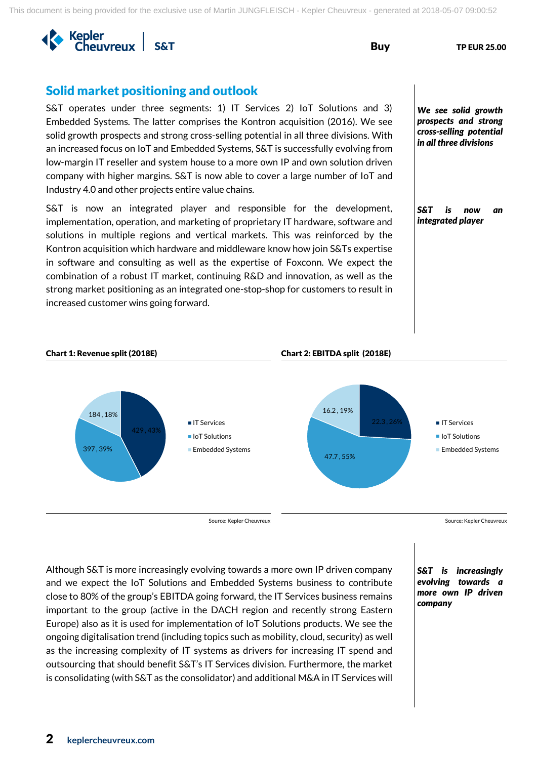

# Solid market positioning and outlook

S&T operates under three segments: 1) IT Services 2) IoT Solutions and 3) Embedded Systems. The latter comprises the Kontron acquisition (2016). We see solid growth prospects and strong cross-selling potential in all three divisions. With an increased focus on IoT and Embedded Systems, S&T is successfully evolving from low-margin IT reseller and system house to a more own IP and own solution driven company with higher margins. S&T is now able to cover a large number of IoT and Industry 4.0 and other projects entire value chains.

S&T is now an integrated player and responsible for the development, implementation, operation, and marketing of proprietary IT hardware, software and solutions in multiple regions and vertical markets. This was reinforced by the Kontron acquisition which hardware and middleware know how join S&Ts expertise in software and consulting as well as the expertise of Foxconn. We expect the combination of a robust IT market, continuing R&D and innovation, as well as the strong market positioning as an integrated one-stop-shop for customers to result in increased customer wins going forward.

*We see solid growth prospects and strong cross-selling potential in all three divisions*

*S&T is now an integrated player* 

### Chart 1: Revenue split (2018E) Chart 2: EBITDA split (2018E)





Source: Kepler Cheuvreux Source: Kepler Cheuvreux Source: Kepler Cheuvreux

Although S&T is more increasingly evolving towards a more own IP driven company and we expect the IoT Solutions and Embedded Systems business to contribute close to 80% of the group's EBITDA going forward, the IT Services business remains important to the group (active in the DACH region and recently strong Eastern Europe) also as it is used for implementation of IoT Solutions products. We see the ongoing digitalisation trend (including topics such as mobility, cloud, security) as well as the increasing complexity of IT systems as drivers for increasing IT spend and outsourcing that should benefit S&T's IT Services division. Furthermore, the market is consolidating (with S&T as the consolidator) and additional M&A in IT Services will *S&T is increasingly evolving towards a more own IP driven company*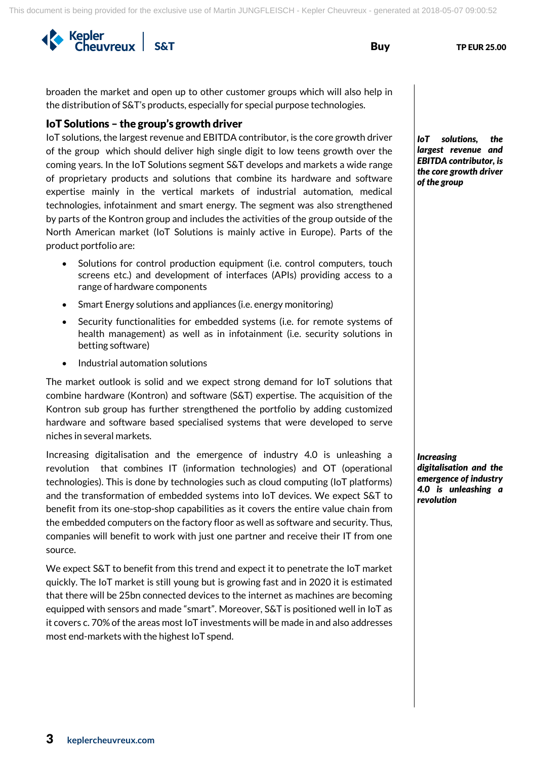broaden the market and open up to other customer groups which will also help in the distribution of S&T's products, especially for special purpose technologies.

### IoT Solutions – the group's growth driver

IoT solutions, the largest revenue and EBITDA contributor, is the core growth driver of the group which should deliver high single digit to low teens growth over the coming years. In the IoT Solutions segment S&T develops and markets a wide range of proprietary products and solutions that combine its hardware and software expertise mainly in the vertical markets of industrial automation, medical technologies, infotainment and smart energy. The segment was also strengthened by parts of the Kontron group and includes the activities of the group outside of the North American market (IoT Solutions is mainly active in Europe). Parts of the product portfolio are:

- Solutions for control production equipment (i.e. control computers, touch screens etc.) and development of interfaces (APIs) providing access to a range of hardware components
- Smart Energy solutions and appliances (i.e. energy monitoring)
- Security functionalities for embedded systems (i.e. for remote systems of health management) as well as in infotainment (i.e. security solutions in betting software)
- Industrial automation solutions

The market outlook is solid and we expect strong demand for IoT solutions that combine hardware (Kontron) and software (S&T) expertise. The acquisition of the Kontron sub group has further strengthened the portfolio by adding customized hardware and software based specialised systems that were developed to serve niches in several markets.

Increasing digitalisation and the emergence of industry 4.0 is unleashing a revolution that combines IT (information technologies) and OT (operational technologies). This is done by technologies such as cloud computing (IoT platforms) and the transformation of embedded systems into IoT devices. We expect S&T to benefit from its one-stop-shop capabilities as it covers the entire value chain from the embedded computers on the factory floor as well as software and security. Thus, companies will benefit to work with just one partner and receive their IT from one source.

We expect S&T to benefit from this trend and expect it to penetrate the IoT market quickly. The IoT market is still young but is growing fast and in 2020 it is estimated that there will be 25bn connected devices to the internet as machines are becoming equipped with sensors and made "smart". Moreover, S&T is positioned well in IoT as it covers c. 70% of the areas most IoT investments will be made in and also addresses most end-markets with the highest IoT spend.

*IoT solutions, the largest revenue and EBITDA contributor, is the core growth driver of the group*

*Increasing digitalisation and the emergence of industry 4.0 is unleashing a revolution*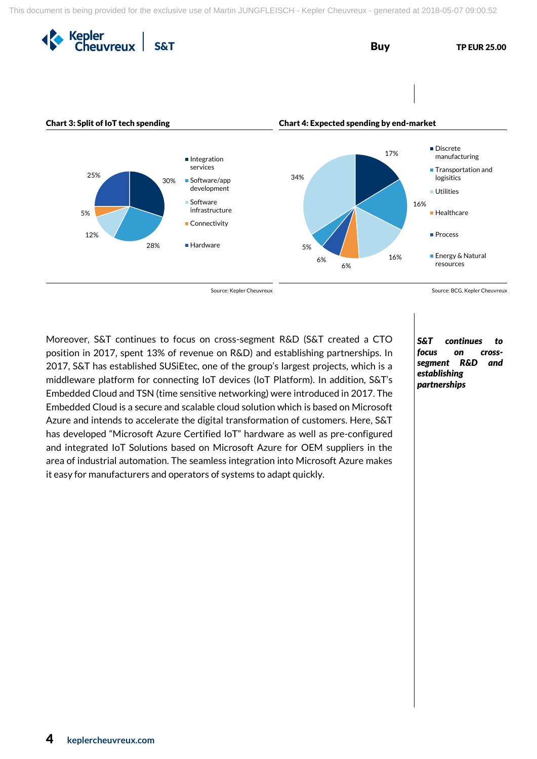

Moreover, S&T continues to focus on cross-segment R&D (S&T created a CTO position in 2017, spent 13% of revenue on R&D) and establishing partnerships. In 2017, S&T has established SUSiEtec, one of the group's largest projects, which is a middleware platform for connecting IoT devices (IoT Platform). In addition, S&T's Embedded Cloud and TSN (time sensitive networking) were introduced in 2017. The Embedded Cloud is a secure and scalable cloud solution which is based on Microsoft Azure and intends to accelerate the digital transformation of customers. Here, S&T has developed "Microsoft Azure Certified IoT" hardware as well as pre-configured and integrated IoT Solutions based on Microsoft Azure for OEM suppliers in the area of industrial automation. The seamless integration into Microsoft Azure makes it easy for manufacturers and operators of systems to adapt quickly.

*S&T continues to focus on crosssegment R&D and establishing partnerships*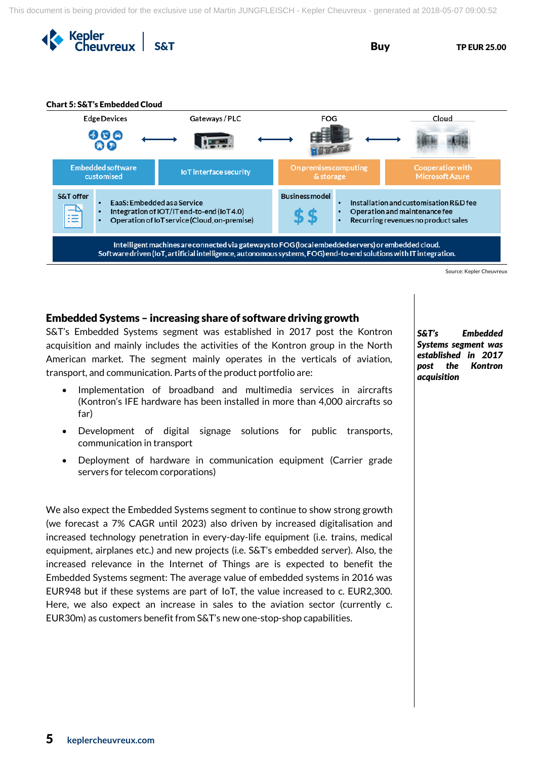



### Embedded Systems – increasing share of software driving growth

S&T's Embedded Systems segment was established in 2017 post the Kontron acquisition and mainly includes the activities of the Kontron group in the North American market. The segment mainly operates in the verticals of aviation, transport, and communication. Parts of the product portfolio are:

- Implementation of broadband and multimedia services in aircrafts (Kontron's IFE hardware has been installed in more than 4,000 aircrafts so far)
- Development of digital signage solutions for public transports, communication in transport
- Deployment of hardware in communication equipment (Carrier grade servers for telecom corporations)

We also expect the Embedded Systems segment to continue to show strong growth (we forecast a 7% CAGR until 2023) also driven by increased digitalisation and increased technology penetration in every-day-life equipment (i.e. trains, medical equipment, airplanes etc.) and new projects (i.e. S&T's embedded server). Also, the increased relevance in the Internet of Things are is expected to benefit the Embedded Systems segment: The average value of embedded systems in 2016 was EUR948 but if these systems are part of IoT, the value increased to c. EUR2,300. Here, we also expect an increase in sales to the aviation sector (currently c. EUR30m) as customers benefit from S&T's new one-stop-shop capabilities.

*S&T's Embedded Systems segment was established in 2017 post the Kontron acquisition*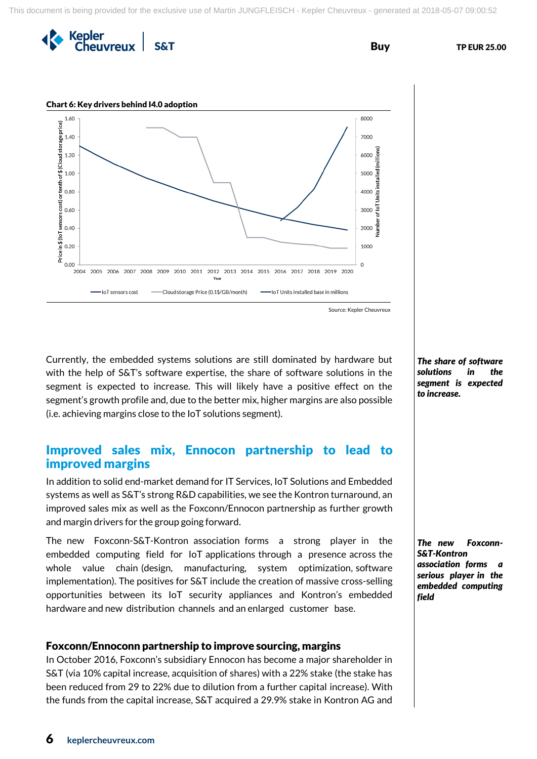Kepler<br>Cheuvreux

**S&T** Buy TP EUR 25.00



Currently, the embedded systems solutions are still dominated by hardware but with the help of S&T's software expertise, the share of software solutions in the segment is expected to increase. This will likely have a positive effect on the segment's growth profile and, due to the better mix, higher margins are also possible (i.e. achieving margins close to the IoT solutions segment).

# Improved sales mix, Ennocon partnership to lead to improved margins

In addition to solid end-market demand for IT Services, IoT Solutions and Embedded systems as well as S&T's strong R&D capabilities, we see the Kontron turnaround, an improved sales mix as well as the Foxconn/Ennocon partnership as further growth and margin drivers for the group going forward.

The new Foxconn-S&T-Kontron association forms a strong player in the embedded computing field for IoT applications through a presence across the whole value chain (design, manufacturing, system optimization, software implementation). The positives for S&T include the creation of massive cross-selling opportunities between its IoT security appliances and Kontron's embedded hardware and new distribution channels and an enlarged customer base.

### Foxconn/Ennoconn partnership to improve sourcing, margins

In October 2016, Foxconn's subsidiary Ennocon has become a major shareholder in S&T (via 10% capital increase, acquisition of shares) with a 22% stake (the stake has been reduced from 29 to 22% due to dilution from a further capital increase). With the funds from the capital increase, S&T acquired a 29.9% stake in Kontron AG and

*The share of software solutions in the segment is expected to increase.*

*The new Foxconn-S&T-Kontron association forms a serious player in the embedded computing field*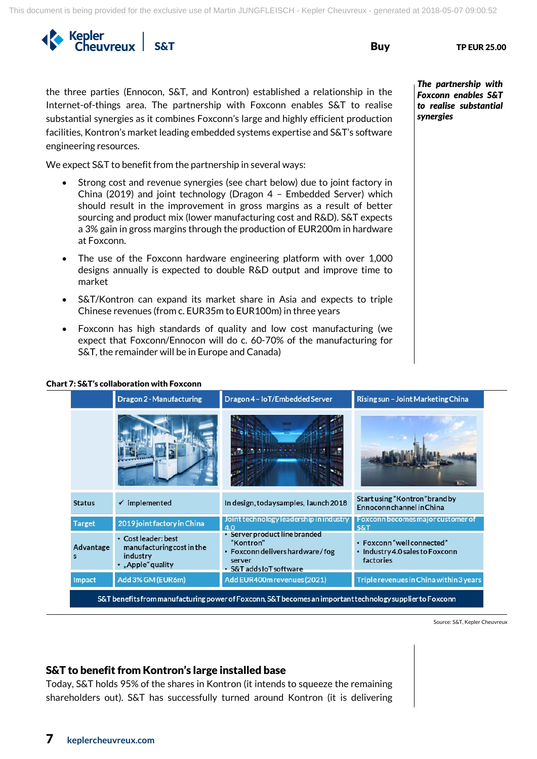This document is being provided for the exclusive use of Martin JUNGFLEISCH - Kepler Cheuvreux - generated at 2018-05-07 09:00:52

SAT Buy TP EUR 25.00

Chart 7: S&T's collaboration with Foxconn

the three parties (Ennocon, S&T, and Kontron) established a relationship in the Internet-of-things area. The partnership with Foxconn enables S&T to realise substantial synergies as it combines Foxconn's large and highly efficient production facilities, Kontron's market leading embedded systems expertise and S&T's software engineering resources.

We expect S&T to benefit from the partnership in several ways:

- Strong cost and revenue synergies (see chart below) due to joint factory in China (2019) and joint technology (Dragon 4 – Embedded Server) which should result in the improvement in gross margins as a result of better sourcing and product mix (lower manufacturing cost and R&D). S&T expects a 3% gain in gross margins through the production of EUR200m in hardware at Foxconn.
- The use of the Foxconn hardware engineering platform with over 1,000 designs annually is expected to double R&D output and improve time to market
- S&T/Kontron can expand its market share in Asia and expects to triple Chinese revenues (from c. EUR35m to EUR100m) in three years
- Foxconn has high standards of quality and low cost manufacturing (we expect that Foxconn/Ennocon will do c. 60-70% of the manufacturing for S&T, the remainder will be in Europe and Canada)

*The partnership with Foxconn enables S&T to realise substantial synergies*

|                | Dragon 2 - Manufacturing                                                          | Dragon 4 - IoT/Embedded Server                                                                                 | Rising sun - Joint Marketing China                                         |
|----------------|-----------------------------------------------------------------------------------|----------------------------------------------------------------------------------------------------------------|----------------------------------------------------------------------------|
|                |                                                                                   |                                                                                                                |                                                                            |
| <b>Status</b>  | $\checkmark$ implemented                                                          | In design, today samples, launch 2018                                                                          | Start using "Kontron" brand by<br>Ennoconnchannel in China                 |
| <b>Target</b>  | 2019 joint factory in China                                                       | Joint technology leadership in industry<br>4.0                                                                 | Foxconn becomes major customer of<br><b>S&amp;T</b>                        |
| Advantage<br>s | • Cost leader: best<br>manufacturing cost in the<br>industry<br>• "Apple" quality | Server product line branded<br>"Kontron"<br>• Foxconn delivers hardware/fog<br>server<br>S&T adds IoT software | · Foxconn "well connected"<br>· Industry 4.0 sales to Foxconn<br>factories |
| Impact         | Add 3% GM (EUR6m)                                                                 | Add EUR400m revenues (2021)                                                                                    | Triple revenues in China within 3 years                                    |

Source: S&T, Kepler Cheuvreux

## S&T to benefit from Kontron's large installed base

Today, S&T holds 95% of the shares in Kontron (it intends to squeeze the remaining shareholders out). S&T has successfully turned around Kontron (it is delivering

# 7 **keplercheuvreux.com**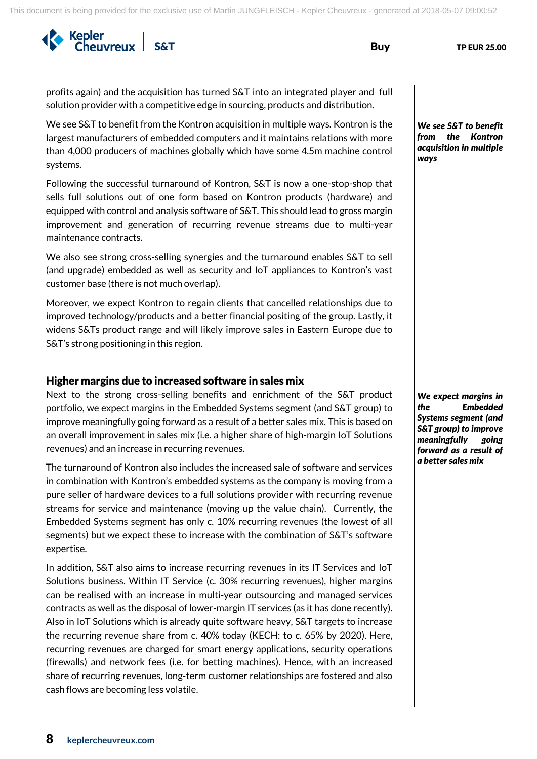SAT Buy TP EUR 25.00

profits again) and the acquisition has turned S&T into an integrated player and full solution provider with a competitive edge in sourcing, products and distribution.

We see S&T to benefit from the Kontron acquisition in multiple ways. Kontron is the largest manufacturers of embedded computers and it maintains relations with more than 4,000 producers of machines globally which have some 4.5m machine control systems.

Following the successful turnaround of Kontron, S&T is now a one-stop-shop that sells full solutions out of one form based on Kontron products (hardware) and equipped with control and analysis software of S&T. This should lead to gross margin improvement and generation of recurring revenue streams due to multi-year maintenance contracts.

We also see strong cross-selling synergies and the turnaround enables S&T to sell (and upgrade) embedded as well as security and IoT appliances to Kontron's vast customer base (there is not much overlap).

Moreover, we expect Kontron to regain clients that cancelled relationships due to improved technology/products and a better financial positing of the group. Lastly, it widens S&Ts product range and will likely improve sales in Eastern Europe due to S&T's strong positioning in this region.

### Higher margins due to increased software in sales mix

Next to the strong cross-selling benefits and enrichment of the S&T product portfolio, we expect margins in the Embedded Systems segment (and S&T group) to improve meaningfully going forward as a result of a better sales mix. This is based on an overall improvement in sales mix (i.e. a higher share of high-margin IoT Solutions revenues) and an increase in recurring revenues.

The turnaround of Kontron also includes the increased sale of software and services in combination with Kontron's embedded systems as the company is moving from a pure seller of hardware devices to a full solutions provider with recurring revenue streams for service and maintenance (moving up the value chain). Currently, the Embedded Systems segment has only c. 10% recurring revenues (the lowest of all segments) but we expect these to increase with the combination of S&T's software expertise.

In addition, S&T also aims to increase recurring revenues in its IT Services and IoT Solutions business. Within IT Service (c. 30% recurring revenues), higher margins can be realised with an increase in multi-year outsourcing and managed services contracts as well as the disposal of lower-margin IT services (as it has done recently). Also in IoT Solutions which is already quite software heavy, S&T targets to increase the recurring revenue share from c. 40% today (KECH: to c. 65% by 2020). Here, recurring revenues are charged for smart energy applications, security operations (firewalls) and network fees (i.e. for betting machines). Hence, with an increased share of recurring revenues, long-term customer relationships are fostered and also cash flows are becoming less volatile.

*We see S&T to benefit from the Kontron acquisition in multiple ways*

*We expect margins in the Embedded Systems segment (and S&T group) to improve meaningfully going forward as a result of a better sales mix*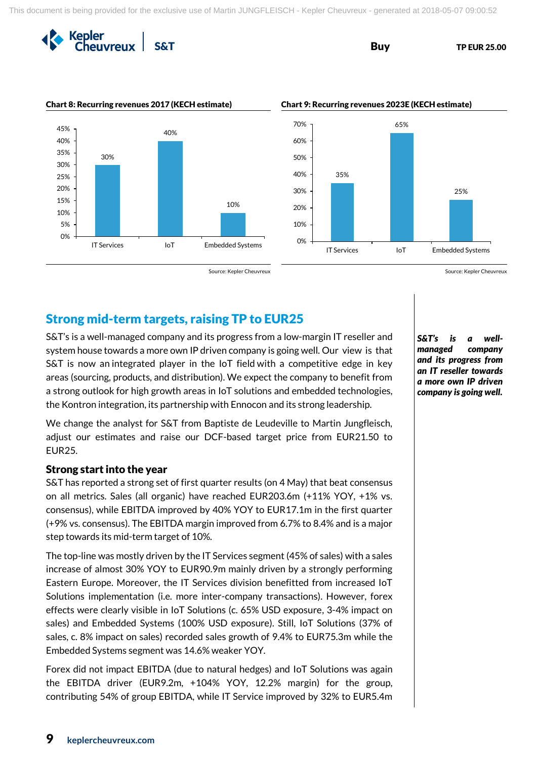

**S&T** Buy TP EUR 25.00



Source: Kepler Cheuvreux Source: Kepler Cheuvreux Source: Kepler Cheuvreux

# Strong mid-term targets, raising TP to EUR25

S&T's is a well-managed company and its progress from a low-margin IT reseller and system house towards a more own IP driven company is going well. Our view is that S&T is now an integrated player in the IoT field with a competitive edge in key areas (sourcing, products, and distribution). We expect the company to benefit from a strong outlook for high growth areas in IoT solutions and embedded technologies, the Kontron integration, its partnership with Ennocon and its strong leadership.

We change the analyst for S&T from Baptiste de Leudeville to Martin Jungfleisch, adjust our estimates and raise our DCF-based target price from EUR21.50 to EUR25.

### Strong start into the year

S&T has reported a strong set of first quarter results (on 4 May) that beat consensus on all metrics. Sales (all organic) have reached EUR203.6m (+11% YOY, +1% vs. consensus), while EBITDA improved by 40% YOY to EUR17.1m in the first quarter (+9% vs. consensus). The EBITDA margin improved from 6.7% to 8.4% and is a major step towards its mid-term target of 10%.

The top-line was mostly driven by the IT Services segment (45% of sales) with a sales increase of almost 30% YOY to EUR90.9m mainly driven by a strongly performing Eastern Europe. Moreover, the IT Services division benefitted from increased IoT Solutions implementation (i.e. more inter-company transactions). However, forex effects were clearly visible in IoT Solutions (c. 65% USD exposure, 3-4% impact on sales) and Embedded Systems (100% USD exposure). Still, IoT Solutions (37% of sales, c. 8% impact on sales) recorded sales growth of 9.4% to EUR75.3m while the Embedded Systems segment was 14.6% weaker YOY.

Forex did not impact EBITDA (due to natural hedges) and IoT Solutions was again the EBITDA driver (EUR9.2m, +104% YOY, 12.2% margin) for the group, contributing 54% of group EBITDA, while IT Service improved by 32% to EUR5.4m

*S&T's is a wellmanaged company and its progress from an IT reseller towards a more own IP driven company is going well.*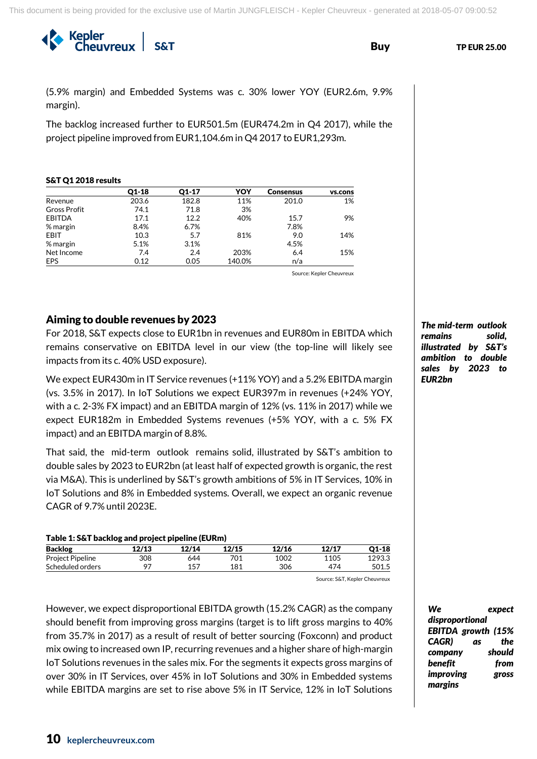SAT Buy TP EUR 25.00

(5.9% margin) and Embedded Systems was c. 30% lower YOY (EUR2.6m, 9.9% margin).

The backlog increased further to EUR501.5m (EUR474.2m in Q4 2017), while the project pipeline improved from EUR1,104.6m in Q4 2017 to EUR1,293m.

### S&T Q1 2018 results

|                     | $Q1-18$ | $Q1-17$ | YOY    | <b>Consensus</b> | vs.cons |
|---------------------|---------|---------|--------|------------------|---------|
| Revenue             | 203.6   | 182.8   | 11%    | 201.0            | 1%      |
| <b>Gross Profit</b> | 74.1    | 71.8    | 3%     |                  |         |
| <b>EBITDA</b>       | 17.1    | 12.2    | 40%    | 15.7             | 9%      |
| % margin            | 8.4%    | 6.7%    |        | 7.8%             |         |
| EBIT                | 10.3    | 5.7     | 81%    | 9.0              | 14%     |
| % margin            | 5.1%    | 3.1%    |        | 4.5%             |         |
| Net Income          | 7.4     | 2.4     | 203%   | 6.4              | 15%     |
| <b>EPS</b>          | 0.12    | 0.05    | 140.0% | n/a              |         |

Source: Kepler Cheuvreux

### Aiming to double revenues by 2023

For 2018, S&T expects close to EUR1bn in revenues and EUR80m in EBITDA which remains conservative on EBITDA level in our view (the top-line will likely see impacts from its c. 40% USD exposure).

We expect EUR430m in IT Service revenues (+11% YOY) and a 5.2% EBITDA margin (vs. 3.5% in 2017). In IoT Solutions we expect EUR397m in revenues (+24% YOY, with a c. 2-3% FX impact) and an EBITDA margin of 12% (vs. 11% in 2017) while we expect EUR182m in Embedded Systems revenues (+5% YOY, with a c. 5% FX impact) and an EBITDA margin of 8.8%.

That said, the mid-term outlook remains solid, illustrated by S&T's ambition to double sales by 2023 to EUR2bn (at least half of expected growth is organic, the rest via M&A). This is underlined by S&T's growth ambitions of 5% in IT Services, 10% in IoT Solutions and 8% in Embedded systems. Overall, we expect an organic revenue CAGR of 9.7% until 2023E.

| Table 1: S&T backlog and project pipeline (EURm) |       |       |       |       |       |         |  |
|--------------------------------------------------|-------|-------|-------|-------|-------|---------|--|
| <b>Backlog</b>                                   | 12/13 | 12/14 | 12/15 | 12/16 | 12/17 | $Q1-18$ |  |
| <b>Project Pipeline</b>                          | 308   | 644   | 701   | 1002  | 1105  | 1293.3  |  |
| Scheduled orders                                 | 97    | 157   | 181   | 306   | 474   | 501.5   |  |

Source: S&T, Kepler Cheuvreux

However, we expect disproportional EBITDA growth (15.2% CAGR) as the company should benefit from improving gross margins (target is to lift gross margins to 40% from 35.7% in 2017) as a result of result of better sourcing (Foxconn) and product mix owing to increased own IP, recurring revenues and a higher share of high-margin IoT Solutions revenues in the sales mix. For the segments it expects gross margins of over 30% in IT Services, over 45% in IoT Solutions and 30% in Embedded systems while EBITDA margins are set to rise above 5% in IT Service, 12% in IoT Solutions *The mid-term outlook remains solid, illustrated by S&T's ambition to double sales by 2023 to EUR2bn*

*We expect disproportional EBITDA growth (15% CAGR) as the company should benefit from improving gross margins*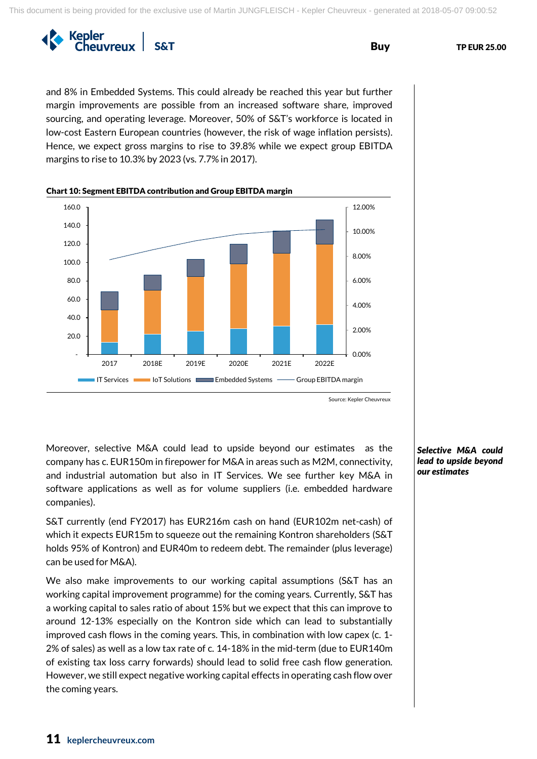

and 8% in Embedded Systems. This could already be reached this year but further margin improvements are possible from an increased software share, improved sourcing, and operating leverage. Moreover, 50% of S&T's workforce is located in low-cost Eastern European countries (however, the risk of wage inflation persists). Hence, we expect gross margins to rise to 39.8% while we expect group EBITDA margins to rise to 10.3% by 2023 (vs. 7.7% in 2017).



Source: Kepler Cheuvreux

Moreover, selective M&A could lead to upside beyond our estimates as the company has c. EUR150m in firepower for M&A in areas such as M2M, connectivity, and industrial automation but also in IT Services. We see further key M&A in software applications as well as for volume suppliers (i.e. embedded hardware companies).

S&T currently (end FY2017) has EUR216m cash on hand (EUR102m net-cash) of which it expects EUR15m to squeeze out the remaining Kontron shareholders (S&T holds 95% of Kontron) and EUR40m to redeem debt. The remainder (plus leverage) can be used for M&A).

We also make improvements to our working capital assumptions (S&T has an working capital improvement programme) for the coming years. Currently, S&T has a working capital to sales ratio of about 15% but we expect that this can improve to around 12-13% especially on the Kontron side which can lead to substantially improved cash flows in the coming years. This, in combination with low capex (c. 1- 2% of sales) as well as a low tax rate of c. 14-18% in the mid-term (due to EUR140m of existing tax loss carry forwards) should lead to solid free cash flow generation. However, we still expect negative working capital effects in operating cash flow over the coming years.

### *Selective M&A could lead to upside beyond our estimates*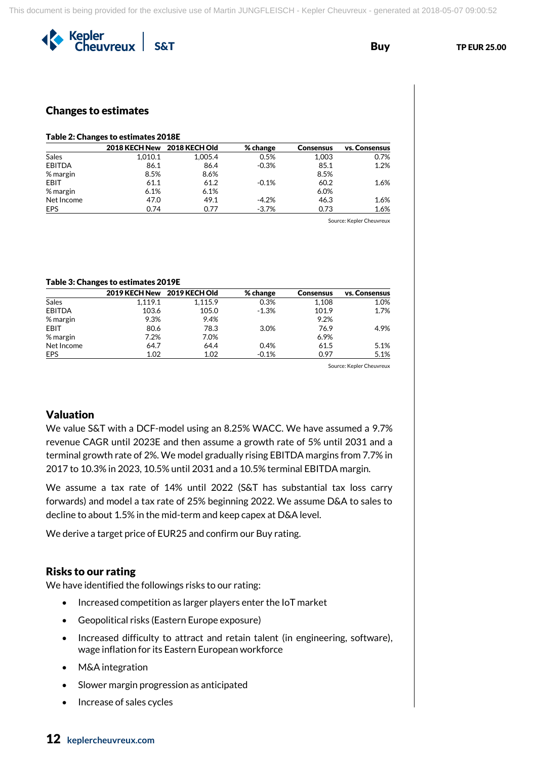

## Changes to estimates

## Table 2: Changes to estimates 2018E

|               | 2018 KECH New 2018 KECH Old |         | $%$ change | <b>Consensus</b> | vs. Consensus |
|---------------|-----------------------------|---------|------------|------------------|---------------|
| Sales         | 1.010.1                     | 1.005.4 | 0.5%       | 1.003            | 0.7%          |
| <b>EBITDA</b> | 86.1                        | 86.4    | $-0.3%$    | 85.1             | 1.2%          |
| % margin      | 8.5%                        | 8.6%    |            | 8.5%             |               |
| EBIT          | 61.1                        | 61.2    | $-0.1%$    | 60.2             | 1.6%          |
| % margin      | 6.1%                        | 6.1%    |            | 6.0%             |               |
| Net Income    | 47.0                        | 49.1    | $-4.2%$    | 46.3             | 1.6%          |
| EPS           | 0.74                        | 0.77    | $-3.7%$    | 0.73             | 1.6%          |

Source: Kepler Cheuvreux

### Table 3: Changes to estimates 2019E

|              | 2019 KECH New | 2019 KECH Old | % change | <b>Consensus</b> | vs. Consensus |
|--------------|---------------|---------------|----------|------------------|---------------|
| <b>Sales</b> | 1.119.1       | 1,115.9       | 0.3%     | 1.108            | 1.0%          |
| EBITDA       | 103.6         | 105.0         | $-1.3%$  | 101.9            | 1.7%          |
| % margin     | 9.3%          | 9.4%          |          | 9.2%             |               |
| EBIT         | 80.6          | 78.3          | 3.0%     | 76.9             | 4.9%          |
| % margin     | 7.2%          | 7.0%          |          | 6.9%             |               |
| Net Income   | 64.7          | 64.4          | 0.4%     | 61.5             | 5.1%          |
| EPS          | 1.02          | 1.02          | $-0.1%$  | 0.97             | 5.1%          |

Source: Kepler Cheuvreux

### Valuation

We value S&T with a DCF-model using an 8.25% WACC. We have assumed a 9.7% revenue CAGR until 2023E and then assume a growth rate of 5% until 2031 and a terminal growth rate of 2%. We model gradually rising EBITDA margins from 7.7% in 2017 to 10.3% in 2023, 10.5% until 2031 and a 10.5% terminal EBITDA margin.

We assume a tax rate of 14% until 2022 (S&T has substantial tax loss carry forwards) and model a tax rate of 25% beginning 2022. We assume D&A to sales to decline to about 1.5% in the mid-term and keep capex at D&A level.

We derive a target price of EUR25 and confirm our Buy rating.

### Risks to our rating

We have identified the followings risks to our rating:

- Increased competition as larger players enter the IoT market
- Geopolitical risks (Eastern Europe exposure)
- Increased difficulty to attract and retain talent (in engineering, software), wage inflation for its Eastern European workforce
- M&A integration
- Slower margin progression as anticipated
- Increase of sales cycles

# 12 **keplercheuvreux.com**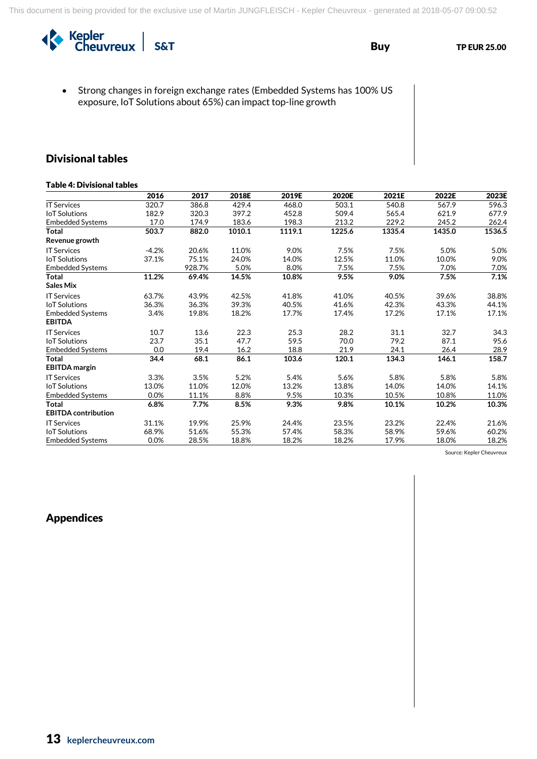

• Strong changes in foreign exchange rates (Embedded Systems has 100% US exposure, IoT Solutions about 65%) can impact top-line growth

# Divisional tables

### Table 4: Divisional tables

|                            | 2016    | 2017   | 2018E  | 2019E  | 2020E  | 2021E  | 2022E  | 2023E  |
|----------------------------|---------|--------|--------|--------|--------|--------|--------|--------|
| <b>IT Services</b>         | 320.7   | 386.8  | 429.4  | 468.0  | 503.1  | 540.8  | 567.9  | 596.3  |
| <b>IoT Solutions</b>       | 182.9   | 320.3  | 397.2  | 452.8  | 509.4  | 565.4  | 621.9  | 677.9  |
| <b>Embedded Systems</b>    | 17.0    | 174.9  | 183.6  | 198.3  | 213.2  | 229.2  | 245.2  | 262.4  |
| <b>Total</b>               | 503.7   | 882.0  | 1010.1 | 1119.1 | 1225.6 | 1335.4 | 1435.0 | 1536.5 |
| Revenue growth             |         |        |        |        |        |        |        |        |
| <b>IT Services</b>         | $-4.2%$ | 20.6%  | 11.0%  | 9.0%   | 7.5%   | 7.5%   | 5.0%   | 5.0%   |
| <b>IoT Solutions</b>       | 37.1%   | 75.1%  | 24.0%  | 14.0%  | 12.5%  | 11.0%  | 10.0%  | 9.0%   |
| <b>Embedded Systems</b>    |         | 928.7% | 5.0%   | 8.0%   | 7.5%   | 7.5%   | 7.0%   | 7.0%   |
| <b>Total</b>               | 11.2%   | 69.4%  | 14.5%  | 10.8%  | 9.5%   | 9.0%   | 7.5%   | 7.1%   |
| <b>Sales Mix</b>           |         |        |        |        |        |        |        |        |
| <b>IT Services</b>         | 63.7%   | 43.9%  | 42.5%  | 41.8%  | 41.0%  | 40.5%  | 39.6%  | 38.8%  |
| <b>IoT Solutions</b>       | 36.3%   | 36.3%  | 39.3%  | 40.5%  | 41.6%  | 42.3%  | 43.3%  | 44.1%  |
| <b>Embedded Systems</b>    | 3.4%    | 19.8%  | 18.2%  | 17.7%  | 17.4%  | 17.2%  | 17.1%  | 17.1%  |
| <b>EBITDA</b>              |         |        |        |        |        |        |        |        |
| <b>IT Services</b>         | 10.7    | 13.6   | 22.3   | 25.3   | 28.2   | 31.1   | 32.7   | 34.3   |
| <b>IoT Solutions</b>       | 23.7    | 35.1   | 47.7   | 59.5   | 70.0   | 79.2   | 87.1   | 95.6   |
| <b>Embedded Systems</b>    | 0.0     | 19.4   | 16.2   | 18.8   | 21.9   | 24.1   | 26.4   | 28.9   |
| <b>Total</b>               | 34.4    | 68.1   | 86.1   | 103.6  | 120.1  | 134.3  | 146.1  | 158.7  |
| <b>EBITDA</b> margin       |         |        |        |        |        |        |        |        |
| <b>IT Services</b>         | 3.3%    | 3.5%   | 5.2%   | 5.4%   | 5.6%   | 5.8%   | 5.8%   | 5.8%   |
| <b>IoT Solutions</b>       | 13.0%   | 11.0%  | 12.0%  | 13.2%  | 13.8%  | 14.0%  | 14.0%  | 14.1%  |
| <b>Embedded Systems</b>    | 0.0%    | 11.1%  | 8.8%   | 9.5%   | 10.3%  | 10.5%  | 10.8%  | 11.0%  |
| <b>Total</b>               | 6.8%    | 7.7%   | 8.5%   | 9.3%   | 9.8%   | 10.1%  | 10.2%  | 10.3%  |
| <b>EBITDA</b> contribution |         |        |        |        |        |        |        |        |
| <b>IT Services</b>         | 31.1%   | 19.9%  | 25.9%  | 24.4%  | 23.5%  | 23.2%  | 22.4%  | 21.6%  |
| <b>IoT Solutions</b>       | 68.9%   | 51.6%  | 55.3%  | 57.4%  | 58.3%  | 58.9%  | 59.6%  | 60.2%  |
| <b>Embedded Systems</b>    | 0.0%    | 28.5%  | 18.8%  | 18.2%  | 18.2%  | 17.9%  | 18.0%  | 18.2%  |

Source: Kepler Cheuvreux

# Appendices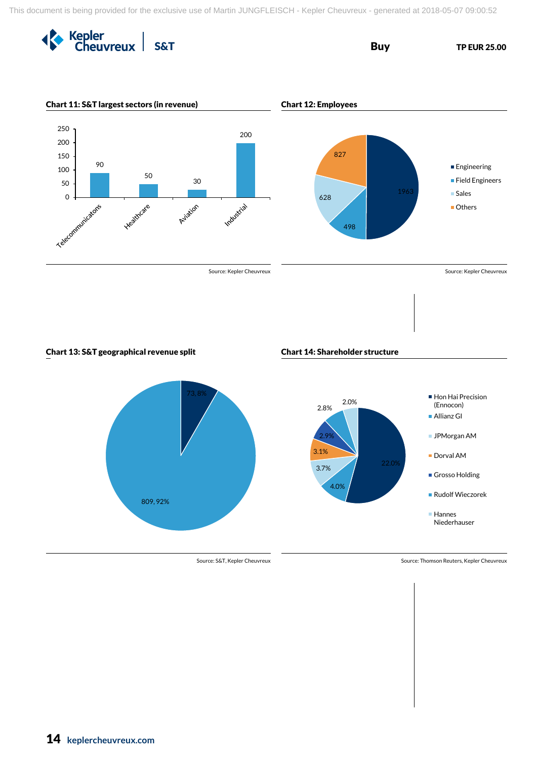







Source: S&T, Kepler Cheuvreux Source: Thomson Reuters, Kepler Cheuvreux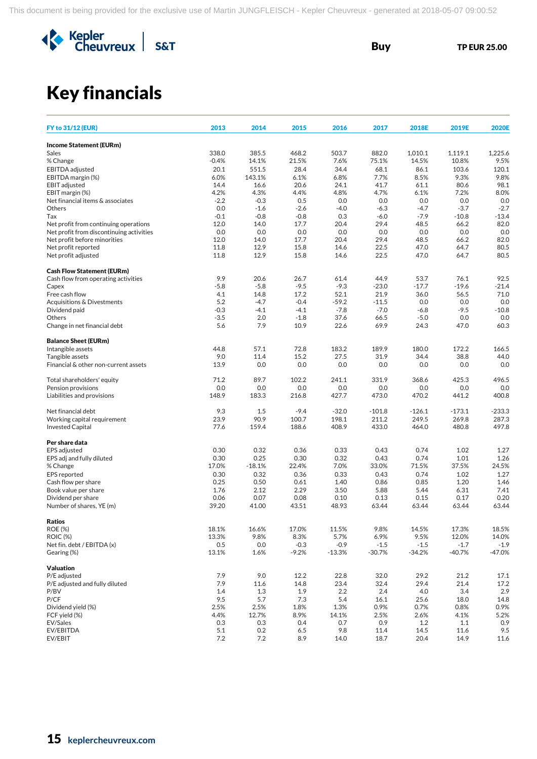

# Key financials

| <b>FY to 31/12 (EUR)</b>                            | 2013           | 2014             | 2015           | 2016              | 2017              | 2018E         | 2019E         | <b>2020E</b>   |
|-----------------------------------------------------|----------------|------------------|----------------|-------------------|-------------------|---------------|---------------|----------------|
| <b>Income Statement (EURm)</b>                      |                |                  |                |                   |                   |               |               |                |
| Sales                                               | 338.0          | 385.5            | 468.2          | 503.7             | 882.0             | 1,010.1       | 1,119.1       | 1,225.6        |
| % Change                                            | $-0.4%$        | 14.1%            | 21.5%          | 7.6%              | 75.1%             | 14.5%         | 10.8%         | 9.5%           |
| EBITDA adjusted                                     | 20.1           | 551.5            | 28.4           | 34.4              | 68.1              | 86.1          | 103.6         | 120.1          |
| EBITDA margin (%)                                   | 6.0%           | 143.1%           | 6.1%           | 6.8%              | 7.7%              | 8.5%          | 9.3%          | 9.8%           |
| <b>EBIT</b> adjusted                                | 14.4           | 16.6             | 20.6           | 24.1              | 41.7              | 61.1          | 80.6          | 98.1           |
| EBIT margin (%)<br>Net financial items & associates | 4.2%<br>$-2.2$ | 4.3%<br>$-0.3$   | 4.4%<br>0.5    | 4.8%<br>0.0       | 4.7%<br>0.0       | 6.1%<br>0.0   | 7.2%<br>0.0   | 8.0%<br>0.0    |
| Others                                              | 0.0            | $-1.6$           | $-2.6$         | $-4.0$            | $-6.3$            | $-4.7$        | $-3.7$        | $-2.7$         |
| Tax                                                 | $-0.1$         | $-0.8$           | $-0.8$         | 0.3               | $-6.0$            | $-7.9$        | $-10.8$       | $-13.4$        |
| Net profit from continuing operations               | 12.0           | 14.0             | 17.7           | 20.4              | 29.4              | 48.5          | 66.2          | 82.0           |
| Net profit from discontinuing activities            | 0.0            | 0.0              | 0.0            | 0.0               | 0.0               | 0.0           | 0.0           | 0.0            |
| Net profit before minorities                        | 12.0           | 14.0             | 17.7           | 20.4              | 29.4              | 48.5          | 66.2          | 82.0           |
| Net profit reported                                 | 11.8           | 12.9             | 15.8           | 14.6              | 22.5              | 47.0          | 64.7          | 80.5           |
| Net profit adjusted                                 | 11.8           | 12.9             | 15.8           | 14.6              | 22.5              | 47.0          | 64.7          | 80.5           |
| <b>Cash Flow Statement (EURm)</b>                   |                |                  |                |                   |                   |               |               |                |
| Cash flow from operating activities                 | 9.9            | 20.6             | 26.7           | 61.4              | 44.9              | 53.7          | 76.1          | 92.5           |
| Capex                                               | $-5.8$         | $-5.8$           | $-9.5$         | $-9.3$            | $-23.0$           | $-17.7$       | $-19.6$       | $-21.4$        |
| Free cash flow                                      | 4.1            | 14.8             | 17.2<br>$-0.4$ | 52.1              | 21.9              | 36.0          | 56.5          | 71.0           |
| Acquisitions & Divestments<br>Dividend paid         | 5.2<br>$-0.3$  | $-4.7$<br>$-4.1$ | $-4.1$         | $-59.2$<br>$-7.8$ | $-11.5$<br>$-7.0$ | 0.0<br>$-6.8$ | 0.0<br>$-9.5$ | 0.0<br>$-10.8$ |
| Others                                              | $-3.5$         | 2.0              | $-1.8$         | 37.6              | 66.5              | $-5.0$        | 0.0           | 0.0            |
| Change in net financial debt                        | 5.6            | 7.9              | 10.9           | 22.6              | 69.9              | 24.3          | 47.0          | 60.3           |
| <b>Balance Sheet (EURm)</b>                         |                |                  |                |                   |                   |               |               |                |
| Intangible assets                                   | 44.8           | 57.1             | 72.8           | 183.2             | 189.9             | 180.0         | 172.2         | 166.5          |
| Tangible assets                                     | 9.0            | 11.4             | 15.2           | 27.5              | 31.9              | 34.4          | 38.8          | 44.0           |
| Financial & other non-current assets                | 13.9           | 0.0              | 0.0            | 0.0               | 0.0               | 0.0           | 0.0           | 0.0            |
| Total shareholders' equity                          | 71.2           | 89.7             | 102.2          | 241.1             | 331.9             | 368.6         | 425.3         | 496.5          |
| Pension provisions                                  | 0.0            | 0.0              | 0.0            | 0.0               | 0.0               | 0.0           | 0.0           | 0.0            |
| Liabilities and provisions                          | 148.9          | 183.3            | 216.8          | 427.7             | 473.0             | 470.2         | 441.2         | 400.8          |
| Net financial debt                                  | 9.3            | 1.5              | $-9.4$         | $-32.0$           | $-101.8$          | $-126.1$      | $-173.1$      | $-233.3$       |
| Working capital requirement                         | 23.9           | 90.9             | 100.7          | 198.1             | 211.2             | 249.5         | 269.8         | 287.3          |
| <b>Invested Capital</b>                             | 77.6           | 159.4            | 188.6          | 408.9             | 433.0             | 464.0         | 480.8         | 497.8          |
| Per share data                                      |                |                  |                |                   |                   |               |               |                |
| EPS adjusted                                        | 0.30           | 0.32             | 0.36           | 0.33              | 0.43              | 0.74          | 1.02          | 1.27           |
| EPS adj and fully diluted                           | 0.30           | 0.25             | 0.30           | 0.32              | 0.43              | 0.74          | 1.01          | 1.26           |
| % Change                                            | 17.0%          | $-18.1%$         | 22.4%          | 7.0%              | 33.0%             | 71.5%         | 37.5%         | 24.5%          |
| <b>EPS</b> reported<br>Cash flow per share          | 0.30<br>0.25   | 0.32<br>0.50     | 0.36<br>0.61   | 0.33<br>1.40      | 0.43<br>0.86      | 0.74<br>0.85  | 1.02<br>1.20  | 1.27<br>1.46   |
| Book value per share                                | 1.76           | 2.12             | 2.29           | 3.50              | 5.88              | 5.44          | 6.31          | 7.41           |
| Dividend per share                                  | 0.06           | 0.07             | 0.08           | 0.10              | 0.13              | 0.15          | 0.17          | 0.20           |
| Number of shares, YE (m)                            | 39.20          | 41.00            | 43.51          | 48.93             | 63.44             | 63.44         | 63.44         | 63.44          |
| Ratios                                              |                |                  |                |                   |                   |               |               |                |
| <b>ROE (%)</b>                                      | 18.1%          | 16.6%            | 17.0%          | 11.5%             | 9.8%              | 14.5%         | 17.3%         | 18.5%          |
| <b>ROIC (%)</b>                                     | 13.3%          | 9.8%             | 8.3%           | 5.7%              | 6.9%              | 9.5%          | 12.0%         | 14.0%          |
| Net fin. debt / EBITDA (x)                          | 0.5            | 0.0              | $-0.3$         | $-0.9$            | $-1.5$            | $-1.5$        | $-1.7$        | $-1.9$         |
| Gearing (%)                                         | 13.1%          | 1.6%             | $-9.2%$        | $-13.3%$          | $-30.7%$          | $-34.2%$      | $-40.7%$      | $-47.0%$       |
| <b>Valuation</b>                                    |                |                  |                |                   |                   |               |               |                |
| P/E adjusted                                        | 7.9            | 9.0              | 12.2           | 22.8              | 32.0              | 29.2          | 21.2          | 17.1           |
| P/E adjusted and fully diluted<br>P/BV              | 7.9<br>1.4     | 11.6<br>1.3      | 14.8<br>1.9    | 23.4<br>2.2       | 32.4<br>2.4       | 29.4<br>4.0   | 21.4<br>3.4   | 17.2<br>2.9    |
| P/CF                                                | 9.5            | 5.7              | 7.3            | 5.4               | 16.1              | 25.6          | 18.0          | 14.8           |
| Dividend yield (%)                                  | 2.5%           | 2.5%             | 1.8%           | 1.3%              | 0.9%              | 0.7%          | 0.8%          | 0.9%           |
| FCF yield (%)                                       | 4.4%           | 12.7%            | 8.9%           | 14.1%             | 2.5%              | 2.6%          | 4.1%          | 5.2%           |
| EV/Sales                                            | 0.3            | 0.3              | 0.4            | 0.7               | 0.9               | 1.2           | 1.1           | 0.9            |
| EV/EBITDA                                           | 5.1            | 0.2              | 6.5            | 9.8               | 11.4              | 14.5          | 11.6          | 9.5            |
| EV/EBIT                                             | $7.2\,$        | 7.2              | 8.9            | 14.0              | 18.7              | 20.4          | 14.9          | 11.6           |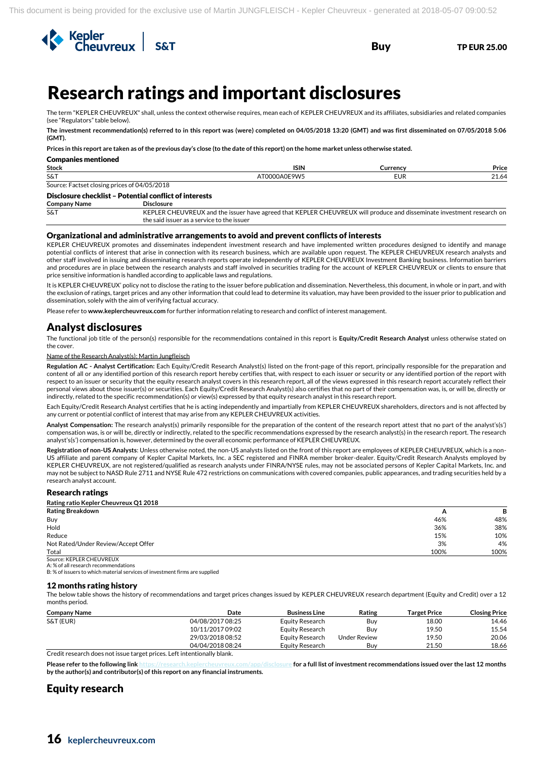

# Research ratings and important disclosures

The term "KEPLER CHEUVREUX" shall, unless the context otherwise requires, mean each of KEPLER CHEUVREUX and its affiliates, subsidiaries and related companies (see "Regulators" table below).

**The investment recommendation(s) referred to in this report was (were) completed on 04/05/2018 13:20 (GMT) and was first disseminated on 07/05/2018 5:06 (GMT).**

**Prices in this report are taken as of the previous day's close (to the date of this report) on the home market unless otherwise stated.**

| Companies mentioned                             |                |                |       |  |  |  |
|-------------------------------------------------|----------------|----------------|-------|--|--|--|
| Stock                                           | <b>ISIN</b>    | <b>Lurrenc</b> | Price |  |  |  |
| S&T                                             | <b>ΩΔΩΕ9ΜΕ</b> | ᆮᇦ             | 21.64 |  |  |  |
| Factset closing prices of 04/05/2018<br>Source: |                |                |       |  |  |  |

# Disclosure checklist – Potential conflict of interests

**Company Name** 

Companies mentioned

S&T KEPLER CHEUVREUX and the issuer have agreed that KEPLER CHEUVREUX will produce and disseminate investment research on the said issuer as a service to the issuer

### Organizational and administrative arrangements to avoid and prevent conflicts of interests

KEPLER CHEUVREUX promotes and disseminates independent investment research and have implemented written procedures designed to identify and manage potential conflicts of interest that arise in connection with its research business, which are available upon request. The KEPLER CHEUVREUX research analysts and other staff involved in issuing and disseminating research reports operate independently of KEPLER CHEUVREUX Investment Banking business. Information barriers and procedures are in place between the research analysts and staff involved in securities trading for the account of KEPLER CHEUVREUX or clients to ensure that price sensitive information is handled according to applicable laws and regulations.

It is KEPLER CHEUVREUX' policy not to disclose the rating to the issuer before publication and dissemination. Nevertheless, this document, in whole or in part, and with the exclusion of ratings, target prices and any other information that could lead to determine its valuation, may have been provided to the issuer prior to publication and dissemination, solely with the aim of verifying factual accuracy.

Please refer to **www.keplercheuvreux.com** for further information relating to research and conflict of interest management.

### Analyst disclosures

The functional job title of the person(s) responsible for the recommendations contained in this report is **Equity/Credit Research Analyst** unless otherwise stated on the cover.

#### Name of the Research Analyst(s): Martin Jungfleisch

**Regulation AC - Analyst Certification:** Each Equity/Credit Research Analyst(s) listed on the front-page of this report, principally responsible for the preparation and content of all or any identified portion of this research report hereby certifies that, with respect to each issuer or security or any identified portion of the report with respect to an issuer or security that the equity research analyst covers in this research report, all of the views expressed in this research report accurately reflect their personal views about those issuer(s) or securities. Each Equity/Credit Research Analyst(s) also certifies that no part of their compensation was, is, or will be, directly or indirectly, related to the specific recommendation(s) or view(s) expressed by that equity research analyst in this research report.

Each Equity/Credit Research Analyst certifies that he is acting independently and impartially from KEPLER CHEUVREUX shareholders, directors and is not affected by any current or potential conflict of interest that may arise from any KEPLER CHEUVREUX activities.

**Analyst Compensation:** The research analyst(s) primarily responsible for the preparation of the content of the research report attest that no part of the analyst's(s') compensation was, is or will be, directly or indirectly, related to the specific recommendations expressed by the research analyst(s) in the research report. The research analyst's(s') compensation is, however, determined by the overall economic performance of KEPLER CHEUVREUX.

**Registration of non-US Analysts**: Unless otherwise noted, the non-US analysts listed on the front of this report are employees of KEPLER CHEUVREUX, which is a non-US affiliate and parent company of Kepler Capital Markets, Inc. a SEC registered and FINRA member broker-dealer. Equity/Credit Research Analysts employed by KEPLER CHEUVREUX, are not registered/qualified as research analysts under FINRA/NYSE rules, may not be associated persons of Kepler Capital Markets, Inc. and may not be subject to NASD Rule 2711 and NYSE Rule 472 restrictions on communications with covered companies, public appearances, and trading securities held by a research analyst account.

### Research ratings

**Rating ratio Kepler Cheuvreux Q1 2018**

| <b>Rating Breakdown</b>             | $\overline{a}$ | в    |
|-------------------------------------|----------------|------|
| Buy                                 | 46%            | 48%  |
| Hold                                | 36%            | 38%  |
| Reduce                              | 15%            | 10%  |
| Not Rated/Under Review/Accept Offer | 3%             | 4%   |
| Total                               | 100%           | 100% |
| Source: KEPLER CHEUVREUX            |                |      |

A: % of all research recommendations

B: % of issuers to which material services of investment firms are supplied

### 12 months rating history

The below table shows the history of recommendations and target prices changes issued by KEPLER CHEUVREUX research department (Equity and Credit) over a 12 months period.

| <b>Company Name</b> | Date             | <b>Business Line</b> | Rating       | Target Price | <b>Closing Price</b> |
|---------------------|------------------|----------------------|--------------|--------------|----------------------|
| S&T (EUR)           | 04/08/2017 08:25 | Equity Research      | Buv          | 18.00        | 14.46                |
|                     | 10/11/2017 09:02 | Equity Research      | Buv          | 19.50        | 15.54                |
|                     | 29/03/2018 08:52 | Equity Research      | Under Review | 19.50        | 20.06                |
|                     | 04/04/2018 08:24 | Equity Research      | Buv          | 21.50        | 18.66                |
| $   -$              | $\cdots$         |                      |              |              |                      |

Credit research does not issue target prices. Left intentionally blank.

**Please refer to the following lin[k https://research.keplercheuvreux.com/app/disclosure](https://research.keplercheuvreux.com/app/disclosure/stock/8466) for a full list of investment recommendations issued over the last 12 months by the author(s) and contributor(s) of this report on any financial instruments.**

## Equity research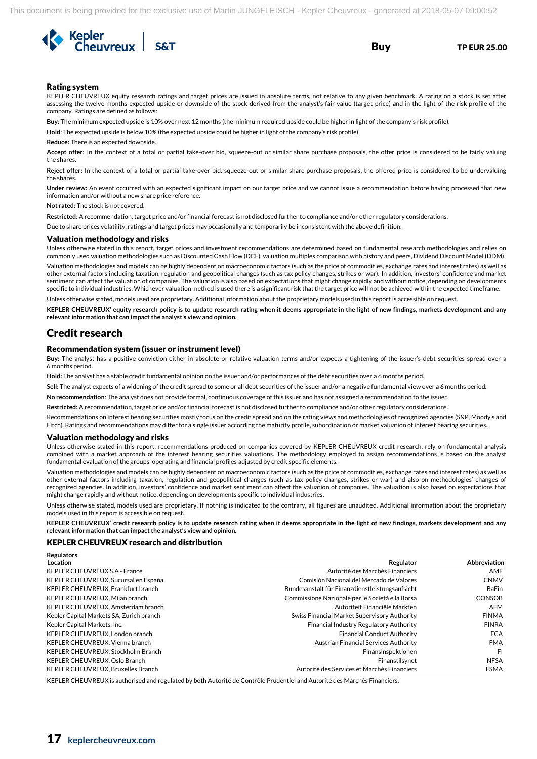

### Rating system

KEPLER CHEUVREUX equity research ratings and target prices are issued in absolute terms, not relative to any given benchmark. A rating on a stock is set after assessing the twelve months expected upside or downside of the stock derived from the analyst's fair value (target price) and in the light of the risk profile of the company. Ratings are defined as follows:

**Buy**: The minimum expected upside is 10% over next 12 months (the minimum required upside could be higher in light of the company's risk profile).

**Hold**: The expected upside is below 10% (the expected upside could be higher in light of the company's risk profile).

**Reduce:** There is an expected downside.

**Accept offer:** In the context of a total or partial take-over bid, squeeze-out or similar share purchase proposals, the offer price is considered to be fairly valuing the shares.

**Reject offer:** In the context of a total or partial take-over bid, squeeze-out or similar share purchase proposals, the offered price is considered to be undervaluing the shares.

**Under review:** An event occurred with an expected significant impact on our target price and we cannot issue a recommendation before having processed that new information and/or without a new share price reference.

**Not rated**: The stock is not covered.

**Restricted**: A recommendation, target price and/or financial forecast is not disclosed further to compliance and/or other regulatory considerations.

Due to share prices volatility, ratings and target prices may occasionally and temporarily be inconsistent with the above definition.

#### Valuation methodology and risks

Unless otherwise stated in this report, target prices and investment recommendations are determined based on fundamental research methodologies and relies on commonly used valuation methodologies such as Discounted Cash Flow (DCF), valuation multiples comparison with history and peers, Dividend Discount Model (DDM).

Valuation methodologies and models can be highly dependent on macroeconomic factors (such as the price of commodities, exchange rates and interest rates) as well as other external factors including taxation, regulation and geopolitical changes (such as tax policy changes, strikes or war). In addition, investors' confidence and market sentiment can affect the valuation of companies. The valuation is also based on expectations that might change rapidly and without notice, depending on developments specific to individual industries. Whichever valuation method is used there is a significant risk that the target price will not be achieved within the expected timeframe.

Unless otherwise stated, models used are proprietary. Additional information about the proprietary models used in this report is accessible on request.

**KEPLER CHEUVREUX' equity research policy is to update research rating when it deems appropriate in the light of new findings, markets development and any relevant information that can impact the analyst's view and opinion.**

### Credit research

**Regulators** 

### Recommendation system (issuer or instrument level)

**Buy:** The analyst has a positive conviction either in absolute or relative valuation terms and/or expects a tightening of the issuer's debt securities spread over a 6 months period.

**Hold:** The analyst has a stable credit fundamental opinion on the issuer and/or performances of the debt securities over a 6 months period.

**Sell:** The analyst expects of a widening of the credit spread to some or all debt securities of the issuer and/or a negative fundamental view over a 6 months period.

**No recommendation**: The analyst does not provide formal, continuous coverage of this issuer and has not assigned a recommendation to the issuer.

**Restricted:** A recommendation, target price and/or financial forecast is not disclosed further to compliance and/or other regulatory considerations.

Recommendations on interest bearing securities mostly focus on the credit spread and on the rating views and methodologies of recognized agencies (S&P, Moody's and Fitch). Ratings and recommendations may differ for a single issuer according the maturity profile, subordination or market valuation of interest bearing securities.

### Valuation methodology and risks

Unless otherwise stated in this report, recommendations produced on companies covered by KEPLER CHEUVREUX credit research, rely on fundamental analysis combined with a market approach of the interest bearing securities valuations. The methodology employed to assign recommendations is based on the analyst fundamental evaluation of the groups' operating and financial profiles adjusted by credit specific elements.

Valuation methodologies and models can be highly dependent on macroeconomic factors (such as the price of commodities, exchange rates and interest rates) as well as other external factors including taxation, regulation and geopolitical changes (such as tax policy changes, strikes or war) and also on methodologies' changes of recognized agencies. In addition, investors' confidence and market sentiment can affect the valuation of companies. The valuation is also based on expectations that might change rapidly and without notice, depending on developments specific to individual industries.

Unless otherwise stated, models used are proprietary. If nothing is indicated to the contrary, all figures are unaudited. Additional information about the proprietary models used in this report is accessible on request.

**KEPLER CHEUVREUX' credit research policy is to update research rating when it deems appropriate in the light of new findings, markets development and any relevant information that can impact the analyst's view and opinion.** 

### KEPLER CHEUVREUX research and distribution

| Location                                 | Regulator                                       | Abbreviation  |
|------------------------------------------|-------------------------------------------------|---------------|
| KEPLER CHEUVREUX S.A - France            | Autorité des Marchés Financiers                 | AMF           |
| KEPLER CHEUVREUX, Sucursal en España     | Comisión Nacional del Mercado de Valores        | <b>CNMV</b>   |
| KEPLER CHEUVREUX. Frankfurt branch       | Bundesanstalt für Finanzdienstleistungsaufsicht | <b>BaFin</b>  |
| KEPLER CHEUVREUX, Milan branch           | Commissione Nazionale per le Società e la Borsa | <b>CONSOB</b> |
| KEPLER CHEUVREUX, Amsterdam branch       | Autoriteit Financiële Markten                   | AFM           |
| Kepler Capital Markets SA, Zurich branch | Swiss Financial Market Supervisory Authority    | <b>FINMA</b>  |
| Kepler Capital Markets, Inc.             | Financial Industry Regulatory Authority         | <b>FINRA</b>  |
| KEPLER CHEUVREUX. London branch          | <b>Financial Conduct Authority</b>              | <b>FCA</b>    |
| KEPLER CHEUVREUX. Vienna branch          | Austrian Financial Services Authority           | <b>FMA</b>    |
| KEPLER CHEUVREUX, Stockholm Branch       | Finansinspektionen                              | FI            |
| KEPLER CHEUVREUX, Oslo Branch            | Finanstilsynet                                  | <b>NFSA</b>   |
| KEPLER CHEUVREUX. Bruxelles Branch       | Autorité des Services et Marchés Financiers     | <b>FSMA</b>   |

KEPLER CHEUVREUX is authorised and regulated by both Autorité de Contrôle Prudentiel and Autorité des Marchés Financiers.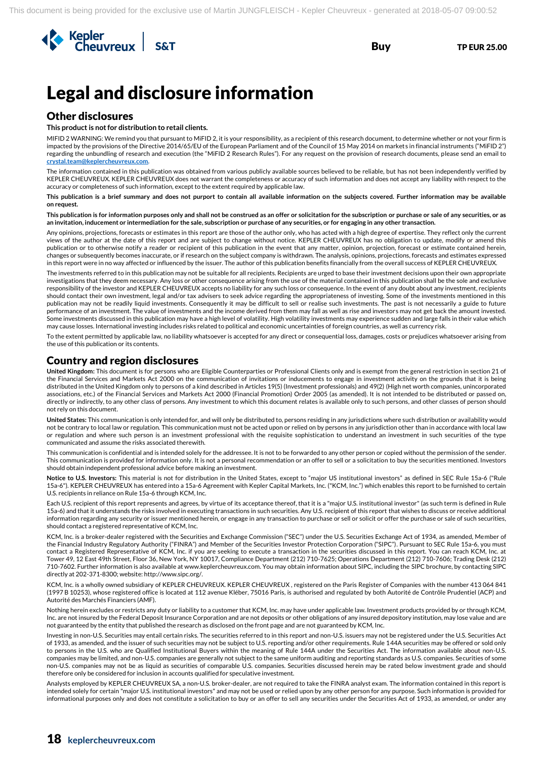

# Legal and disclosure information

### Other disclosures

**This product is not for distribution to retail clients.**

MIFID 2 WARNING: We remind you that pursuant to MiFID 2, it is your responsibility, as a recipient of this research document, to determine whether or not your firm is impacted by the provisions of the Directive 2014/65/EU of the European Parliament and of the Council of 15 May 2014 on markets in financial instruments ("MiFID 2") regarding the unbundling of research and execution (the "MiFID 2 Research Rules"). For any request on the provision of research documents, please send an email to **[crystal.team@keplercheuvreux.com.](mailto:crystal.team@keplercheuvreux.com)**

The information contained in this publication was obtained from various publicly available sources believed to be reliable, but has not been independently verified by KEPLER CHEUVREUX. KEPLER CHEUVREUX does not warrant the completeness or accuracy of such information and does not accept any liability with respect to the accuracy or completeness of such information, except to the extent required by applicable law.

**This publication is a brief summary and does not purport to contain all available information on the subjects covered. Further information may be available on request.**

**This publication is for information purposes only and shall not be construed as an offer or solicitation for the subscription or purchase or sale of any securities, or as an invitation, inducement or intermediation for the sale, subscription or purchase of any securities, or for engaging in any other transaction.**

Any opinions, projections, forecasts or estimates in this report are those of the author only, who has acted with a high degree of expertise. They reflect only the current views of the author at the date of this report and are subject to change without notice. KEPLER CHEUVREUX has no obligation to update, modify or amend this publication or to otherwise notify a reader or recipient of this publication in the event that any matter, opinion, projection, forecast or estimate contained herein, changes or subsequently becomes inaccurate, or if research on the subject company is withdrawn. The analysis, opinions, projections, forecasts and estimates expressed in this report were in no way affected or influenced by the issuer. The author of this publication benefits financially from the overall success of KEPLER CHEUVREUX.

The investments referred to in this publication may not be suitable for all recipients. Recipients are urged to base their investment decisions upon their own appropriate investigations that they deem necessary. Any loss or other consequence arising from the use of the material contained in this publication shall be the sole and exclusive responsibility of the investor and KEPLER CHEUVREUX accepts no liability for any such loss or consequence. In the event of any doubt about any investment, recipients should contact their own investment, legal and/or tax advisers to seek advice regarding the appropriateness of investing. Some of the investments mentioned in this publication may not be readily liquid investments. Consequently it may be difficult to sell or realise such investments. The past is not necessarily a guide to future performance of an investment. The value of investments and the income derived from them may fall as well as rise and investors may not get back the amount invested. Some investments discussed in this publication may have a high level of volatility. High volatility investments may experience sudden and large falls in their value which may cause losses. International investing includes risks related to political and economic uncertainties of foreign countries, as well as currency risk.

To the extent permitted by applicable law, no liability whatsoever is accepted for any direct or consequential loss, damages, costs or prejudices whatsoever arising from the use of this publication or its contents.

### Country and region disclosures

**United Kingdom:** This document is for persons who are Eligible Counterparties or Professional Clients only and is exempt from the general restriction in section 21 of the Financial Services and Markets Act 2000 on the communication of invitations or inducements to engage in investment activity on the grounds that it is being distributed in the United Kingdom only to persons of a kind described in Articles 19(5) (Investment professionals) and 49(2) (High net worth companies, unincorporated associations, etc.) of the Financial Services and Markets Act 2000 (Financial Promotion) Order 2005 (as amended). It is not intended to be distributed or passed on, directly or indirectly, to any other class of persons. Any investment to which this document relates is available only to such persons, and other classes of person should not rely on this document.

**United States:** This communication is only intended for, and will only be distributed to, persons residing in any jurisdictions where such distribution or availability would not be contrary to local law or regulation. This communication must not be acted upon or relied on by persons in any jurisdiction other than in accordance with local law or regulation and where such person is an investment professional with the requisite sophistication to understand an investment in such securities of the type communicated and assume the risks associated therewith.

This communication is confidential and is intended solely for the addressee. It is not to be forwarded to any other person or copied without the permission of the sender. This communication is provided for information only. It is not a personal recommendation or an offer to sell or a solicitation to buy the securities mentioned. Investors should obtain independent professional advice before making an investment.

**Notice to U.S. Investors:** This material is not for distribution in the United States, except to "major US institutional investors" as defined in SEC Rule 15a-6 ("Rule 15a-6"). KEPLER CHEUVREUX has entered into a 15a-6 Agreement with Kepler Capital Markets, Inc. ("KCM, Inc.") which enables this report to be furnished to certain U.S. recipients in reliance on Rule 15a-6 through KCM, Inc.

Each U.S. recipient of this report represents and agrees, by virtue of its acceptance thereof, that it is a "major U.S. institutional investor" (as such term is defined in Rule 15a-6) and that it understands the risks involved in executing transactions in such securities. Any U.S. recipient of this report that wishes to discuss or receive additional information regarding any security or issuer mentioned herein, or engage in any transaction to purchase or sell or solicit or offer the purchase or sale of such securities, should contact a registered representative of KCM, Inc.

KCM, Inc. is a broker-dealer registered with the Securities and Exchange Commission ("SEC") under the U.S. Securities Exchange Act of 1934, as amended, Member of the Financial Industry Regulatory Authority ("FINRA") and Member of the Securities Investor Protection Corporation ("SIPC"). Pursuant to SEC Rule 15a-6, you must contact a Registered Representative of KCM, Inc. if you are seeking to execute a transaction in the securities discussed in this report. You can reach KCM, Inc. at Tower 49, 12 East 49th Street, Floor 36, New York, NY 10017, Compliance Department (212) 710-7625; Operations Department (212) 710-7606; Trading Desk (212) 710-7602. Further information is also available at www.keplercheuvreux.com. You may obtain information about SIPC, including the SIPC brochure, by contacting SIPC directly at 202-371-8300; website: http://www.sipc.org/.

KCM, Inc. is a wholly owned subsidiary of KEPLER CHEUVREUX. KEPLER CHEUVREUX , registered on the Paris Register of Companies with the number 413 064 841 (1997 B 10253), whose registered office is located at 112 avenue Kléber, 75016 Paris, is authorised and regulated by both Autorité de Contrôle Prudentiel (ACP) and Autorité des Marchés Financiers (AMF).

Nothing herein excludes or restricts any duty or liability to a customer that KCM, Inc. may have under applicable law. Investment products provided by or through KCM, Inc. are not insured by the Federal Deposit Insurance Corporation and are not deposits or other obligations of any insured depository institution, may lose value and are not guaranteed by the entity that published the research as disclosed on the front page and are not guaranteed by KCM, Inc.

Investing in non-U.S. Securities may entail certain risks. The securities referred to in this report and non-U.S. issuers may not be registered under the U.S. Securities Act of 1933, as amended, and the issuer of such securities may not be subject to U.S. reporting and/or other requirements. Rule 144A securities may be offered or sold only to persons in the U.S. who are Qualified Institutional Buyers within the meaning of Rule 144A under the Securities Act. The information available about non-U.S. companies may be limited, and non-U.S. companies are generally not subject to the same uniform auditing and reporting standards as U.S. companies. Securities of some non-U.S. companies may not be as liquid as securities of comparable U.S. companies. Securities discussed herein may be rated below investment grade and should therefore only be considered for inclusion in accounts qualified for speculative investment.

Analysts employed by KEPLER CHEUVREUX SA, a non-U.S. broker-dealer, are not required to take the FINRA analyst exam. The information contained in this report is intended solely for certain "major U.S. institutional investors" and may not be used or relied upon by any other person for any purpose. Such information is provided for informational purposes only and does not constitute a solicitation to buy or an offer to sell any securities under the Securities Act of 1933, as amended, or under any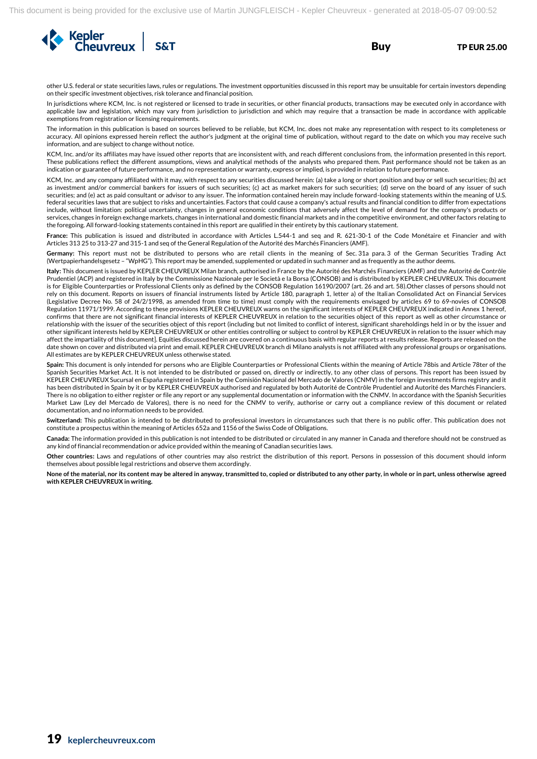

other U.S. federal or state securities laws, rules or regulations. The investment opportunities discussed in this report may be unsuitable for certain investors depending on their specific investment objectives, risk tolerance and financial position.

In jurisdictions where KCM, Inc. is not registered or licensed to trade in securities, or other financial products, transactions may be executed only in accordance with applicable law and legislation, which may vary from jurisdiction to jurisdiction and which may require that a transaction be made in accordance with applicable exemptions from registration or licensing requirements.

The information in this publication is based on sources believed to be reliable, but KCM, Inc. does not make any representation with respect to its completeness or accuracy. All opinions expressed herein reflect the author's judgment at the original time of publication, without regard to the date on which you may receive such information, and are subject to change without notice.

KCM, Inc. and/or its affiliates may have issued other reports that are inconsistent with, and reach different conclusions from, the information presented in this report. These publications reflect the different assumptions, views and analytical methods of the analysts who prepared them. Past performance should not be taken as an indication or guarantee of future performance, and no representation or warranty, express or implied, is provided in relation to future performance.

KCM, Inc. and any company affiliated with it may, with respect to any securities discussed herein: (a) take a long or short position and buy or sell such securities; (b) act as investment and/or commercial bankers for issuers of such securities; (c) act as market makers for such securities; (d) serve on the board of any issuer of such securities; and (e) act as paid consultant or advisor to any issuer. The information contained herein may include forward-looking statements within the meaning of U.S. federal securities laws that are subject to risks and uncertainties. Factors that could cause a company's actual results and financial condition to differ from expectations include, without limitation: political uncertainty, changes in general economic conditions that adversely affect the level of demand for the company's products or services, changes in foreign exchange markets, changes in international and domestic financial markets and in the competitive environment, and other factors relating to the foregoing. All forward-looking statements contained in this report are qualified in their entirety by this cautionary statement.

**France:** This publication is issued and distributed in accordance with Articles L.544-1 and seq and R. 621-30-1 of the Code Monétaire et Financier and with Articles 313 25 to 313-27 and 315-1 and seq of the General Regulation of the Autorité des Marchés Financiers (AMF).

**Germany:** This report must not be distributed to persons who are retail clients in the meaning of Sec. 31a para. 3 of the German Securities Trading Act (Wertpapierhandelsgesetz – "WpHG"). This report may be amended, supplemented or updated in such manner and as frequently as the author deems.

**Italy:** This document is issued by KEPLER CHEUVREUX Milan branch, authorised in France by the Autorité des Marchés Financiers (AMF) and the Autorité de Contrôle Prudentiel (ACP) and registered in Italy by the Commissione Nazionale per le Società e la Borsa (CONSOB) and is distributed by KEPLER CHEUVREUX. This document is for Eligible Counterparties or Professional Clients only as defined by the CONSOB Regulation 16190/2007 (art. 26 and art. 58).Other classes of persons should not rely on this document. Reports on issuers of financial instruments listed by Article 180, paragraph 1, letter a) of the Italian Consolidated Act on Financial Services (Legislative Decree No. 58 of 24/2/1998, as amended from time to time) must comply with the requirements envisaged by articles 69 to 69-novies of CONSOB Regulation 11971/1999. According to these provisions KEPLER CHEUVREUX warns on the significant interests of KEPLER CHEUVREUX indicated in Annex 1 hereof, confirms that there are not significant financial interests of KEPLER CHEUVREUX in relation to the securities object of this report as well as other circumstance or relationship with the issuer of the securities object of this report (including but not limited to conflict of interest, significant shareholdings held in or by the issuer and other significant interests held by KEPLER CHEUVREUX or other entities controlling or subject to control by KEPLER CHEUVREUX in relation to the issuer which may affect the impartiality of this document]. Equities discussed herein are covered on a continuous basis with regular reports at results release. Reports are released on the date shown on cover and distributed via print and email. KEPLER CHEUVREUX branch di Milano analysts is not affiliated with any professional groups or organisations. All estimates are by KEPLER CHEUVREUX unless otherwise stated.

**Spain:** This document is only intended for persons who are Eligible Counterparties or Professional Clients within the meaning of Article 78bis and Article 78ter of the Spanish Securities Market Act. It is not intended to be distributed or passed on, directly or indirectly, to any other class of persons. This report has been issued by KEPLER CHEUVREUX Sucursal en España registered in Spain by the Comisión Nacional del Mercado de Valores (CNMV) in the foreign investments firms registry and it has been distributed in Spain by it or by KEPLER CHEUVREUX authorised and regulated by both Autorité de Contrôle Prudentiel and Autorité des Marchés Financiers. There is no obligation to either register or file any report or any supplemental documentation or information with the CNMV. In accordance with the Spanish Securities Market Law (Ley del Mercado de Valores), there is no need for the CNMV to verify, authorise or carry out a compliance review of this document or related documentation, and no information needs to be provided.

**Switzerland:** This publication is intended to be distributed to professional investors in circumstances such that there is no public offer. This publication does not constitute a prospectus within the meaning of Articles 652a and 1156 of the Swiss Code of Obligations.

**Canada:** The information provided in this publication is not intended to be distributed or circulated in any manner in Canada and therefore should not be construed as any kind of financial recommendation or advice provided within the meaning of Canadian securities laws.

**Other countries:** Laws and regulations of other countries may also restrict the distribution of this report. Persons in possession of this document should inform themselves about possible legal restrictions and observe them accordingly.

**None of the material, nor its content may be altered in anyway, transmitted to, copied or distributed to any other party, in whole or in part, unless otherwise agreed with KEPLER CHEUVREUX in writing.**